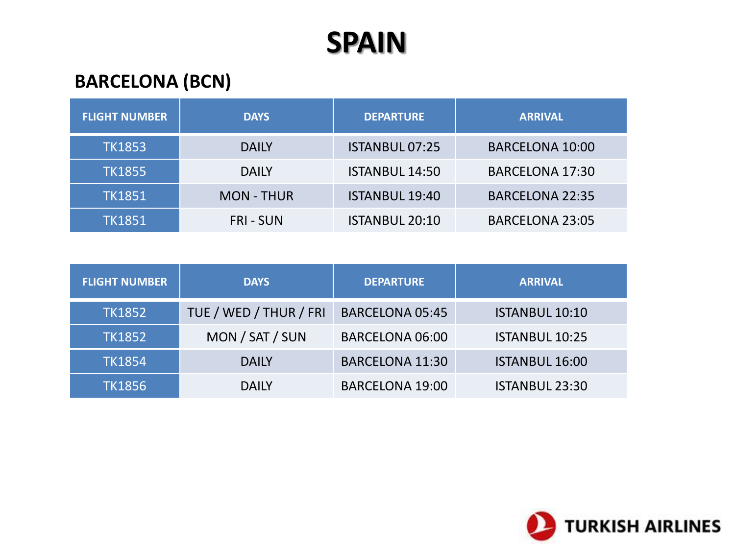## **BARCELONA (BCN)**

| <b>FLIGHT NUMBER</b> | <b>DAYS</b>       | <b>DEPARTURE</b>      | <b>ARRIVAL</b>         |
|----------------------|-------------------|-----------------------|------------------------|
| <b>TK1853</b>        | <b>DAILY</b>      | <b>ISTANBUL 07:25</b> | <b>BARCELONA 10:00</b> |
| <b>TK1855</b>        | <b>DAILY</b>      | <b>ISTANBUL 14:50</b> | <b>BARCELONA 17:30</b> |
| <b>TK1851</b>        | <b>MON - THUR</b> | <b>ISTANBUL 19:40</b> | <b>BARCELONA 22:35</b> |
| <b>TK1851</b>        | <b>FRI-SUN</b>    | <b>ISTANBUL 20:10</b> | <b>BARCELONA 23:05</b> |

| <b>FLIGHT NUMBER</b> | <b>DAYS</b>            | <b>DEPARTURE</b>       | <b>ARRIVAL</b>        |
|----------------------|------------------------|------------------------|-----------------------|
| <b>TK1852</b>        | TUE / WED / THUR / FRI | <b>BARCELONA 05:45</b> | <b>ISTANBUL 10:10</b> |
| <b>TK1852</b>        | MON / SAT / SUN        | <b>BARCELONA 06:00</b> | <b>ISTANBUL 10:25</b> |
| <b>TK1854</b>        | <b>DAILY</b>           | <b>BARCELONA 11:30</b> | <b>ISTANBUL 16:00</b> |
| <b>TK1856</b>        | <b>DAILY</b>           | <b>BARCELONA 19:00</b> | <b>ISTANBUL 23:30</b> |

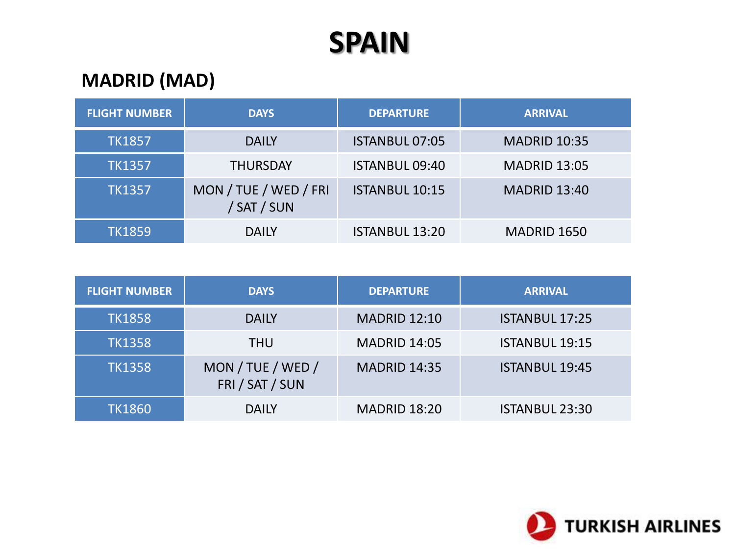## **MADRID (MAD)**

| <b>FLIGHT NUMBER</b> | <b>DAYS</b>                          | <b>DEPARTURE</b>      | <b>ARRIVAL</b>      |
|----------------------|--------------------------------------|-----------------------|---------------------|
| <b>TK1857</b>        | <b>DAILY</b>                         | <b>ISTANBUL 07:05</b> | <b>MADRID 10:35</b> |
| <b>TK1357</b>        | <b>THURSDAY</b>                      | <b>ISTANBUL 09:40</b> | <b>MADRID 13:05</b> |
| <b>TK1357</b>        | MON / TUE / WED / FRI<br>/ SAT / SUN | <b>ISTANBUL 10:15</b> | <b>MADRID 13:40</b> |
| <b>TK1859</b>        | <b>DAILY</b>                         | <b>ISTANBUL 13:20</b> | MADRID 1650         |

| <b>FLIGHT NUMBER</b> | <b>DAYS</b>                          | <b>DEPARTURE</b>    | <b>ARRIVAL</b>        |
|----------------------|--------------------------------------|---------------------|-----------------------|
| <b>TK1858</b>        | <b>DAILY</b>                         | <b>MADRID 12:10</b> | <b>ISTANBUL 17:25</b> |
| <b>TK1358</b>        | <b>THU</b>                           | <b>MADRID 14:05</b> | <b>ISTANBUL 19:15</b> |
| <b>TK1358</b>        | MON / TUE / WED /<br>FRI / SAT / SUN | <b>MADRID 14:35</b> | <b>ISTANBUL 19:45</b> |
| <b>TK1860</b>        | <b>DAILY</b>                         | <b>MADRID 18:20</b> | <b>ISTANBUL 23:30</b> |

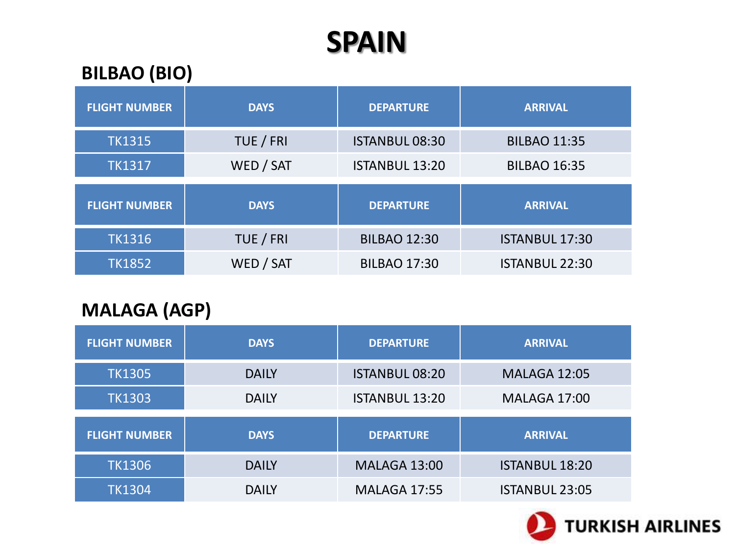#### **BILBAO (BIO)**

| <b>FLIGHT NUMBER</b> | <b>DAYS</b> | <b>DEPARTURE</b>      | <b>ARRIVAL</b>        |
|----------------------|-------------|-----------------------|-----------------------|
| <b>TK1315</b>        | TUE / FRI   | <b>ISTANBUL 08:30</b> | <b>BILBAO 11:35</b>   |
| <b>TK1317</b>        | WED / SAT   | <b>ISTANBUL 13:20</b> | <b>BILBAO 16:35</b>   |
|                      |             |                       |                       |
| <b>FLIGHT NUMBER</b> | <b>DAYS</b> | <b>DEPARTURE</b>      | <b>ARRIVAL</b>        |
| <b>TK1316</b>        | TUE / FRI   | <b>BILBAO 12:30</b>   | <b>ISTANBUL 17:30</b> |

#### **MALAGA (AGP)**

| <b>FLIGHT NUMBER</b> | <b>DAYS</b>  | <b>DEPARTURE</b>      | <b>ARRIVAL</b>        |
|----------------------|--------------|-----------------------|-----------------------|
| <b>TK1305</b>        | <b>DAILY</b> | <b>ISTANBUL 08:20</b> | <b>MALAGA 12:05</b>   |
| <b>TK1303</b>        | <b>DAILY</b> | <b>ISTANBUL 13:20</b> | <b>MALAGA 17:00</b>   |
|                      |              |                       |                       |
| <b>FLIGHT NUMBER</b> | <b>DAYS</b>  | <b>DEPARTURE</b>      | <b>ARRIVAL</b>        |
| <b>TK1306</b>        | <b>DAILY</b> | <b>MALAGA 13:00</b>   | <b>ISTANBUL 18:20</b> |